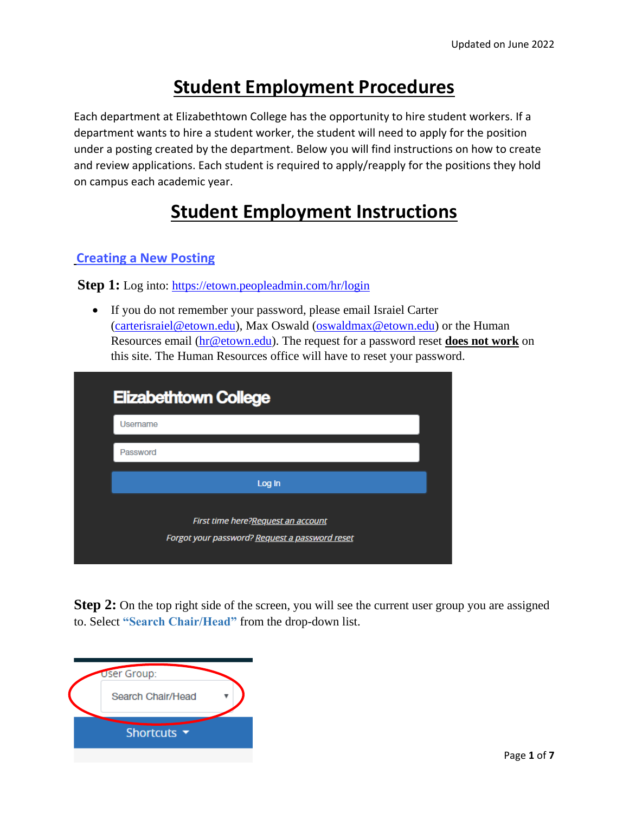# **Student Employment Procedures**

Each department at Elizabethtown College has the opportunity to hire student workers. If a department wants to hire a student worker, the student will need to apply for the position under a posting created by the department. Below you will find instructions on how to create and review applications. Each student is required to apply/reapply for the positions they hold on campus each academic year.

# **Student Employment Instructions**

### **Creating a New Posting**

**Step 1:** Log into:<https://etown.peopleadmin.com/hr/login>

 If you do not remember your password, please email Israiel Carter [\(carterisraiel@etown.edu\)](mailto:carterisraiel@etown.edu), Max Oswald [\(oswaldmax@etown.edu\)](mailto:oswaldmax@etown.edu) or the Human Resources email [\(hr@etown.edu\)](mailto:hr@etown.edu). The request for a password reset **does not work** on this site. The Human Resources office will have to reset your password.

| <b>Elizabethtown College</b>       |  |
|------------------------------------|--|
| Username                           |  |
| Password                           |  |
| Log In                             |  |
| First time here?Request an account |  |

**Step 2:** On the top right side of the screen, you will see the current user group you are assigned to. Select **"Search Chair/Head"** from the drop-down list.

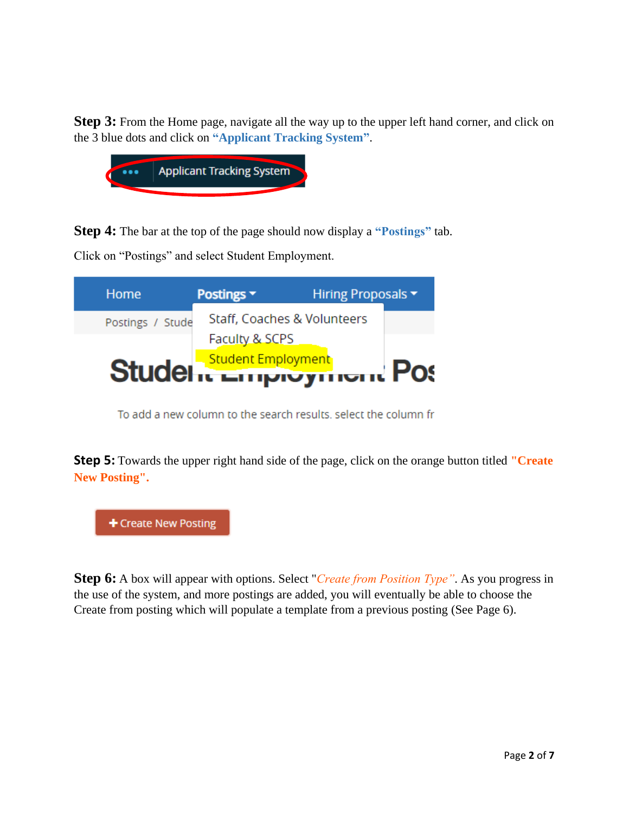**Step 3:** From the Home page, navigate all the way up to the upper left hand corner, and click on the 3 blue dots and click on **"Applicant Tracking System"**.



**Step 4:** The bar at the top of the page should now display a **"Postings"** tab.

Click on "Postings" and select Student Employment.

| Home             | <b>Postings v</b> | Hiring Proposals ▼              |  |
|------------------|-------------------|---------------------------------|--|
| Postings / Stude |                   | Staff, Coaches & Volunteers     |  |
|                  | Faculty & SCPS    |                                 |  |
|                  |                   | Studel is <b>Engloyment</b> Pos |  |
|                  |                   |                                 |  |

To add a new column to the search results, select the column fr

**Step 5:** Towards the upper right hand side of the page, click on the orange button titled **"Create New Posting".**

+ Create New Posting

**Step 6:** A box will appear with options. Select "*Create from Position Type"*. As you progress in the use of the system, and more postings are added, you will eventually be able to choose the Create from posting which will populate a template from a previous posting (See Page 6).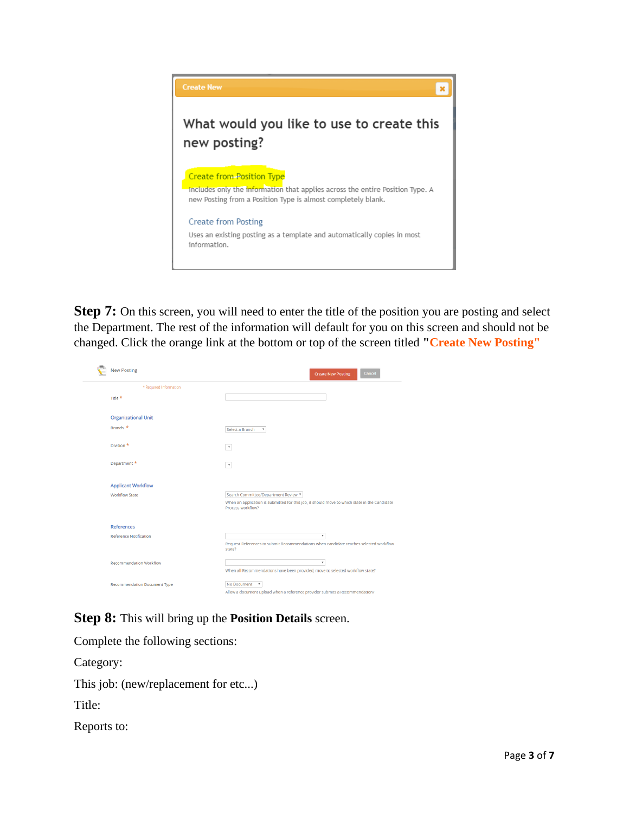

**Step 7:** On this screen, you will need to enter the title of the position you are posting and select the Department. The rest of the information will default for you on this screen and should not be changed. Click the orange link at the bottom or top of the screen titled **"Create New Posting"**

| <b>New Posting</b>             | Cancel<br><b>Create New Posting</b>                                                                                |
|--------------------------------|--------------------------------------------------------------------------------------------------------------------|
| * Required Information         |                                                                                                                    |
| Title <sup>*</sup>             |                                                                                                                    |
| <b>Organizational Unit</b>     |                                                                                                                    |
| Branch *                       | Select a Branch<br>$\boldsymbol{\mathrm{v}}$                                                                       |
| Division *                     | $\tau$                                                                                                             |
| Department *                   | $\boldsymbol{\mathrm{v}}$                                                                                          |
| <b>Applicant Workflow</b>      |                                                                                                                    |
| <b>Workflow State</b>          | Search Committee/Department Review ▼                                                                               |
|                                | When an application is submitted for this job, it should move to which state in the Candidate<br>Process workflow? |
| <b>References</b>              |                                                                                                                    |
| <b>Reference Notification</b>  | $\boldsymbol{\mathrm{v}}$                                                                                          |
|                                | Request References to submit Recommendations when candidate reaches selected workflow<br>state?                    |
| <b>Recommendation Workflow</b> | $\overline{\mathbf{v}}$                                                                                            |
|                                | When all Recommendations have been provided, move to selected workflow state?                                      |
| Recommendation Document Type   | No Document                                                                                                        |
|                                | Allow a document upload when a reference provider submits a Recommendation?                                        |

**Step 8:** This will bring up the **Position Details** screen.

Complete the following sections:

Category:

This job: (new/replacement for etc...)

Title:

Reports to: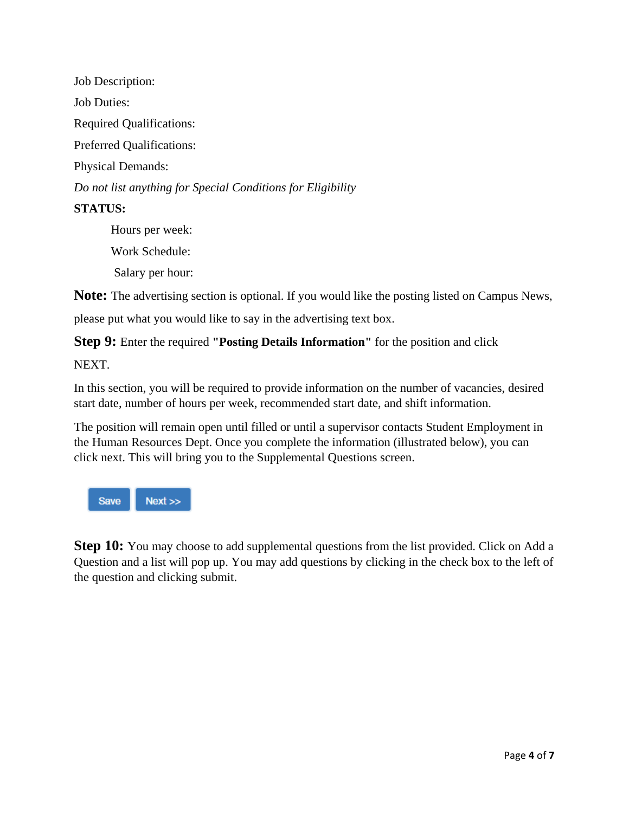Job Description: Job Duties: Required Qualifications: Preferred Qualifications: Physical Demands: *Do not list anything for Special Conditions for Eligibility* **STATUS:**

> Hours per week: Work Schedule: Salary per hour:

**Note:** The advertising section is optional. If you would like the posting listed on Campus News,

please put what you would like to say in the advertising text box.

**Step 9:** Enter the required **"Posting Details Information"** for the position and click

NEXT.

In this section, you will be required to provide information on the number of vacancies, desired start date, number of hours per week, recommended start date, and shift information.

The position will remain open until filled or until a supervisor contacts Student Employment in the Human Resources Dept. Once you complete the information (illustrated below), you can click next. This will bring you to the Supplemental Questions screen.



**Step 10:** You may choose to add supplemental questions from the list provided. Click on Add a Question and a list will pop up. You may add questions by clicking in the check box to the left of the question and clicking submit.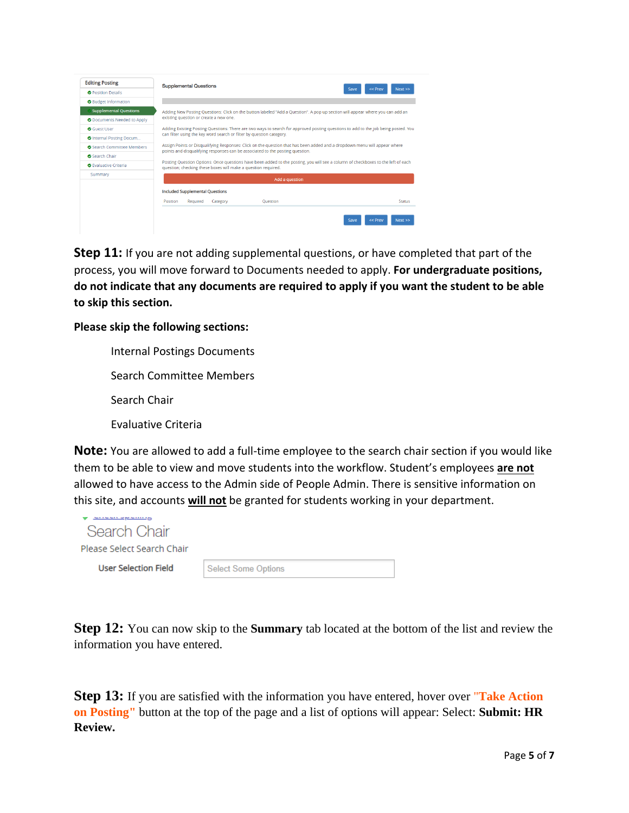| <b>Editing Posting</b>        | <b>Supplemental Questions</b>                                                                                                                                                                              |                 |      |                 |
|-------------------------------|------------------------------------------------------------------------------------------------------------------------------------------------------------------------------------------------------------|-----------------|------|-----------------|
| <b>O</b> Position Details     |                                                                                                                                                                                                            |                 | Save | << Prev<br>Next |
| <b>O</b> Budget Information   |                                                                                                                                                                                                            |                 |      |                 |
| <b>Supplemental Questions</b> | Adding New Posting Questions: Click on the button labeled "Add a Question". A pop up section will appear where you can add an                                                                              |                 |      |                 |
| O Documents Needed to Apply   | existing question or create a new one.                                                                                                                                                                     |                 |      |                 |
| <b>O</b> Guest User           | Adding Existing Posting Questions: There are two ways to search for approved posting questions to add to the job being posted. You                                                                         |                 |      |                 |
| O Internal Posting Docum      | can filter using the key word search or filter by question category.                                                                                                                                       |                 |      |                 |
| Search Committee Members      | Assign Points or Disqualifying Responses: Click on the question that has been added and a dropdown menu will appear where<br>points and disqualifying responses can be associated to the posting question. |                 |      |                 |
| <b>O</b> Search Chair         |                                                                                                                                                                                                            |                 |      |                 |
| <b>O</b> Evaluative Criteria  | Posting Question Options: Once questions have been added to the posting, you will see a column of checkboxes to the left of each<br>question; checking these boxes will make a question required.          |                 |      |                 |
| Summary                       |                                                                                                                                                                                                            | Add a question  |      |                 |
|                               | <b>Included Supplemental Questions</b>                                                                                                                                                                     |                 |      |                 |
|                               | Position<br>Required<br>Category                                                                                                                                                                           | <b>Ouestion</b> |      | <b>Status</b>   |
|                               |                                                                                                                                                                                                            |                 |      |                 |
|                               |                                                                                                                                                                                                            |                 |      |                 |

**Step 11:** If you are not adding supplemental questions, or have completed that part of the process, you will move forward to Documents needed to apply. **For undergraduate positions, do not indicate that any documents are required to apply if you want the student to be able to skip this section.** 

#### **Please skip the following sections:**

**Note:** You are allowed to add a full-time employee to the search chair section if you would like them to be able to view and move students into the workflow. Student's employees **are not** allowed to have access to the Admin side of People Admin. There is sensitive information on this site, and accounts **will not** be granted for students working in your department.

| Search Chair<br>Please Select Search Chair |                            |
|--------------------------------------------|----------------------------|
| <b>User Selection Field</b>                | <b>Select Some Options</b> |

**Step 12:** You can now skip to the **Summary** tab located at the bottom of the list and review the information you have entered.

**Step 13:** If you are satisfied with the information you have entered, hover over "**Take Action on Posting"** button at the top of the page and a list of options will appear: Select: **Submit: HR Review.**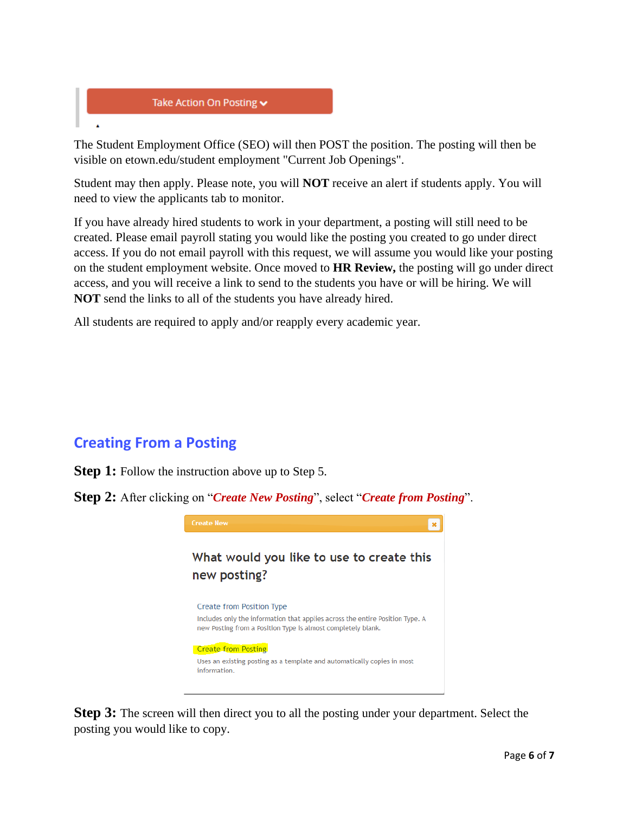

visible on etown.edu/student employment "Current Job Openings". Student may then apply. Please note, you will **NOT** receive an alert if students apply. You will need to view the applicants tab to monitor.

If you have already hired students to work in your department, a posting will still need to be created. Please email payroll stating you would like the posting you created to go under direct access. If you do not email payroll with this request, we will assume you would like your posting on the student employment website. Once moved to **HR Review,** the posting will go under direct access, and you will receive a link to send to the students you have or will be hiring. We will **NOT** send the links to all of the students you have already hired.

All students are required to apply and/or reapply every academic year.

## **Creating From a Posting**

**Step 1:** Follow the instruction above up to Step 5.

**Step 2:** After clicking on "*Create New Posting*", select "*Create from Posting*".



**Step 3:** The screen will then direct you to all the posting under your department. Select the posting you would like to copy.